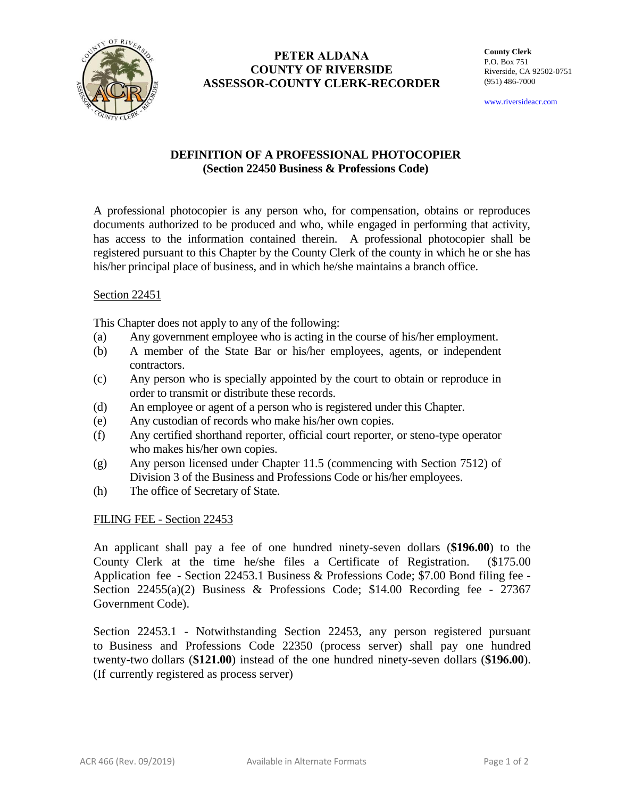

# **PETER ALDANA COUNTY OF RIVERSIDE ASSESSOR-COUNTY CLERK-RECORDER**

**County Clerk** P.O. Box 751 Riverside, CA 92502-0751 (951) 486-7000

www.riversideacr.com

## **DEFINITION OF A PROFESSIONAL PHOTOCOPIER (Section 22450 Business & Professions Code)**

A professional photocopier is any person who, for compensation, obtains or reproduces documents authorized to be produced and who, while engaged in performing that activity, has access to the information contained therein. A professional photocopier shall be registered pursuant to this Chapter by the County Clerk of the county in which he or she has his/her principal place of business, and in which he/she maintains a branch office.

### Section 22451

This Chapter does not apply to any of the following:

- (a) Any government employee who is acting in the course of his/her employment.
- (b) A member of the State Bar or his/her employees, agents, or independent contractors.
- (c) Any person who is specially appointed by the court to obtain or reproduce in order to transmit or distribute these records.
- (d) An employee or agent of a person who is registered under this Chapter.
- (e) Any custodian of records who make his/her own copies.
- (f) Any certified shorthand reporter, official court reporter, or steno-type operator who makes his/her own copies.
- (g) Any person licensed under Chapter 11.5 (commencing with Section 7512) of Division 3 of the Business and Professions Code or his/her employees.
- (h) The office of Secretary of State.

FILING FEE - Section 22453

An applicant shall pay a fee of one hundred ninety-seven dollars (**\$196.00**) to the County Clerk at the time he/she files a Certificate of Registration. (\$175.00 Application fee - Section 22453.1 Business & Professions Code; \$7.00 Bond filing fee - Section  $22455(a)(2)$  Business & Professions Code; \$14.00 Recording fee - 27367 Government Code).

Section 22453.1 - Notwithstanding Section 22453, any person registered pursuant to Business and Professions Code 22350 (process server) shall pay one hundred twenty-two dollars (**\$121.00**) instead of the one hundred ninety-seven dollars (**\$196.00**). (If currently registered as process server)